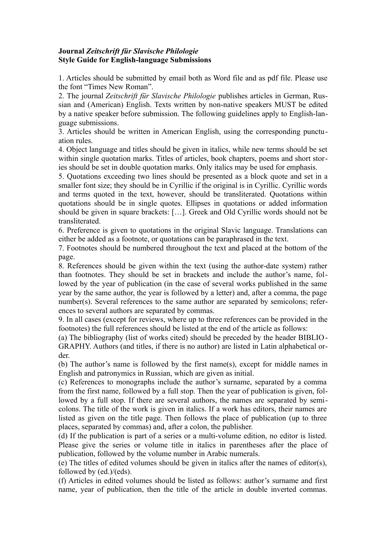## **Journal** *Zeitschrift für Slavische Philologie* **Style Guide for English-language Submissions**

1. Articles should be submitted by email both as Word file and as pdf file. Please use the font "Times New Roman".

2. The journal *Zeitschrift für Slavische Philologie* publishes articles in German, Russian and (American) English. Texts written by non-native speakers MUST be edited by a native speaker before submission. The following guidelines apply to English-language submissions.

3. Articles should be written in American English, using the corresponding punctuation rules.

4. Object language and titles should be given in italics, while new terms should be set within single quotation marks. Titles of articles, book chapters, poems and short stories should be set in double quotation marks. Only italics may be used for emphasis.

5. Quotations exceeding two lines should be presented as a block quote and set in a smaller font size; they should be in Cyrillic if the original is in Cyrillic. Cyrillic words and terms quoted in the text, however, should be transliterated. Quotations within quotations should be in single quotes. Ellipses in quotations or added information should be given in square brackets: […]. Greek and Old Cyrillic words should not be transliterated.

6. Preference is given to quotations in the original Slavic language. Translations can either be added as a footnote, or quotations can be paraphrased in the text.

7. Footnotes should be numbered throughout the text and placed at the bottom of the page.

8. References should be given within the text (using the author-date system) rather than footnotes. They should be set in brackets and include the author's name, followed by the year of publication (in the case of several works published in the same year by the same author, the year is followed by a letter) and, after a comma, the page number(s). Several references to the same author are separated by semicolons; references to several authors are separated by commas.

9. In all cases (except for reviews, where up to three references can be provided in the footnotes) the full references should be listed at the end of the article as follows:

(a) The bibliography (list of works cited) should be preceded by the header BIBLIO-GRAPHY. Authors (and titles, if there is no author) are listed in Latin alphabetical order.

(b) The author's name is followed by the first name(s), except for middle names in English and patronymics in Russian, which are given as initial.

(c) References to monographs include the author's surname, separated by a comma from the first name, followed by a full stop. Then the year of publication is given, followed by a full stop. If there are several authors, the names are separated by semicolons. The title of the work is given in italics. If a work has editors, their names are listed as given on the title page. Then follows the place of publication (up to three places, separated by commas) and, after a colon, the publisher.

(d) If the publication is part of a series or a multi-volume edition, no editor is listed. Please give the series or volume title in italics in parentheses after the place of publication, followed by the volume number in Arabic numerals.

(e) The titles of edited volumes should be given in italics after the names of editor(s), followed by (ed.)/(eds).

(f) Articles in edited volumes should be listed as follows: author's surname and first name, year of publication, then the title of the article in double inverted commas.